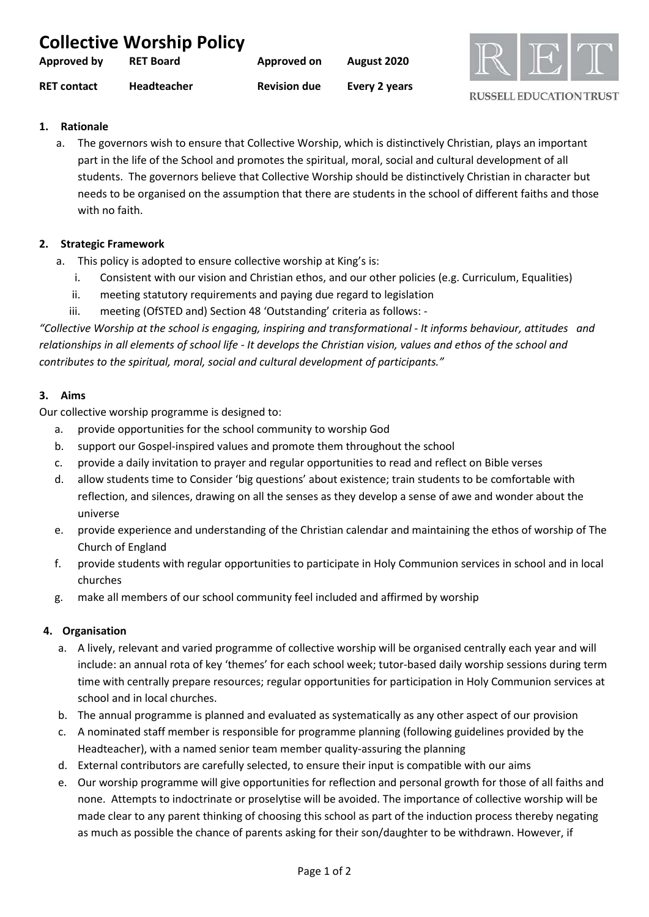| <b>Collective Worship Policy</b> |                    |                     |               |  |  |  |
|----------------------------------|--------------------|---------------------|---------------|--|--|--|
| Approved by                      | <b>RET Board</b>   | Approved on         | August 2020   |  |  |  |
| <b>RET contact</b>               | <b>Headteacher</b> | <b>Revision due</b> | Every 2 years |  |  |  |



# **1. Rationale**

a. The governors wish to ensure that Collective Worship, which is distinctively Christian, plays an important part in the life of the School and promotes the spiritual, moral, social and cultural development of all students. The governors believe that Collective Worship should be distinctively Christian in character but needs to be organised on the assumption that there are students in the school of different faiths and those with no faith.

## **2. Strategic Framework**

- a. This policy is adopted to ensure collective worship at King's is:
	- i. Consistent with our vision and Christian ethos, and our other policies (e.g. Curriculum, Equalities)
	- ii. meeting statutory requirements and paying due regard to legislation
	- iii. meeting (OfSTED and) Section 48 'Outstanding' criteria as follows: -

*"Collective Worship at the school is engaging, inspiring and transformational - It informs behaviour, attitudes and relationships in all elements of school life - It develops the Christian vision, values and ethos of the school and contributes to the spiritual, moral, social and cultural development of participants."*

### **3. Aims**

Our collective worship programme is designed to:

- a. provide opportunities for the school community to worship God
- b. support our Gospel-inspired values and promote them throughout the school
- c. provide a daily invitation to prayer and regular opportunities to read and reflect on Bible verses
- d. allow students time to Consider 'big questions' about existence; train students to be comfortable with reflection, and silences, drawing on all the senses as they develop a sense of awe and wonder about the universe
- e. provide experience and understanding of the Christian calendar and maintaining the ethos of worship of The Church of England
- f. provide students with regular opportunities to participate in Holy Communion services in school and in local churches
- g. make all members of our school community feel included and affirmed by worship

# **4. Organisation**

- a. A lively, relevant and varied programme of collective worship will be organised centrally each year and will include: an annual rota of key 'themes' for each school week; tutor-based daily worship sessions during term time with centrally prepare resources; regular opportunities for participation in Holy Communion services at school and in local churches.
- b. The annual programme is planned and evaluated as systematically as any other aspect of our provision
- c. A nominated staff member is responsible for programme planning (following guidelines provided by the Headteacher), with a named senior team member quality-assuring the planning
- d. External contributors are carefully selected, to ensure their input is compatible with our aims
- e. Our worship programme will give opportunities for reflection and personal growth for those of all faiths and none. Attempts to indoctrinate or proselytise will be avoided. The importance of collective worship will be made clear to any parent thinking of choosing this school as part of the induction process thereby negating as much as possible the chance of parents asking for their son/daughter to be withdrawn. However, if